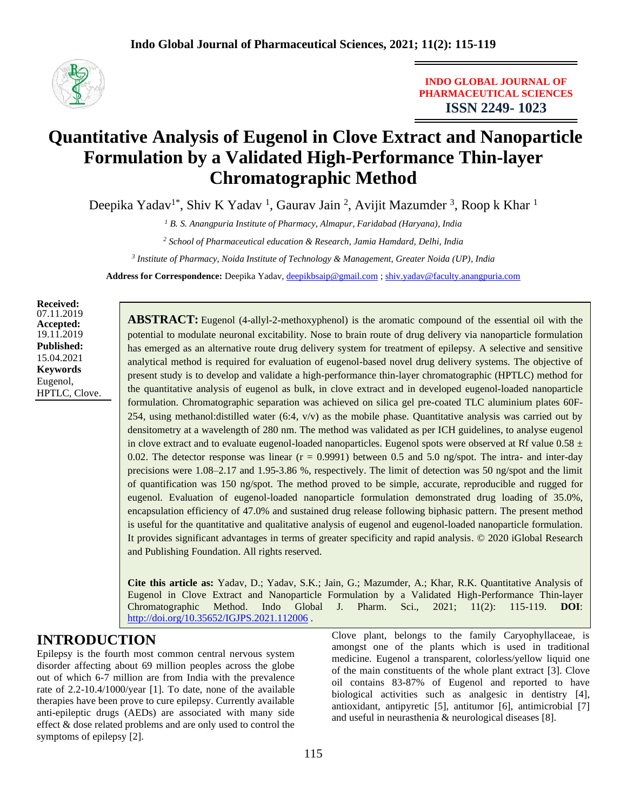

**INDO GLOBAL JOURNAL OF PHARMACEUTICAL SCIENCES ISSN 2249- 1023**

# **Quantitative Analysis of Eugenol in Clove Extract and Nanoparticle Formulation by a Validated High-Performance Thin-layer Chromatographic Method**

Deepika Yadav<sup>1\*</sup>, Shiv K Yadav<sup>1</sup>, Gaurav Jain<sup>2</sup>, Avijit Mazumder<sup>3</sup>, Roop k Khar<sup>1</sup>

*<sup>1</sup> B. S. Anangpuria Institute of Pharmacy, Almapur, Faridabad (Haryana), India*

*<sup>2</sup> School of Pharmaceutical education & Research, Jamia Hamdard, Delhi, India*

*3 Institute of Pharmacy, Noida Institute of Technology & Management, Greater Noida (UP), India*

**Address for Correspondence:** Deepika Yadav, [deepikbsaip@gmail.com](mailto:deepikbsaip@gmail.com) [; shiv.yadav@faculty.anangpuria.com](mailto:shiv.yadav@faculty.anangpuria.com)

**Received:** 07.11.2019 **Accepted:**  19.11.2019 **Published:** 15.04.2021 **Keywords** Eugenol, HPTLC, Clove.

**ABSTRACT:** Eugenol (4-allyl-2-methoxyphenol) is the aromatic compound of the essential oil with the potential to modulate neuronal excitability. Nose to brain route of drug delivery via nanoparticle formulation has emerged as an alternative route drug delivery system for treatment of epilepsy. A selective and sensitive analytical method is required for evaluation of eugenol-based novel drug delivery systems. The objective of present study is to develop and validate a high-performance thin-layer chromatographic (HPTLC) method for the quantitative analysis of eugenol as bulk, in clove extract and in developed eugenol-loaded nanoparticle formulation. Chromatographic separation was achieved on silica gel pre-coated TLC aluminium plates 60F-254, using methanol: distilled water  $(6:4, v/v)$  as the mobile phase. Quantitative analysis was carried out by densitometry at a wavelength of 280 nm. The method was validated as per ICH guidelines, to analyse eugenol in clove extract and to evaluate eugenol-loaded nanoparticles. Eugenol spots were observed at Rf value  $0.58 \pm$ 0.02. The detector response was linear  $(r = 0.9991)$  between 0.5 and 5.0 ng/spot. The intra- and inter-day precisions were 1.08–2.17 and 1.95-3.86 %, respectively. The limit of detection was 50 ng/spot and the limit of quantification was 150 ng/spot. The method proved to be simple, accurate, reproducible and rugged for eugenol. Evaluation of eugenol-loaded nanoparticle formulation demonstrated drug loading of 35.0%, encapsulation efficiency of 47.0% and sustained drug release following biphasic pattern. The present method is useful for the quantitative and qualitative analysis of eugenol and eugenol-loaded nanoparticle formulation. It provides significant advantages in terms of greater specificity and rapid analysis. © 2020 iGlobal Research and Publishing Foundation. All rights reserved.

**Cite this article as:** Yadav, D.; Yadav, S.K.; Jain, G.; Mazumder, A.; Khar, R.K. Quantitative Analysis of Eugenol in Clove Extract and Nanoparticle Formulation by a Validated High-Performance Thin-layer Chromatographic Method. Indo Global J. Pharm. Sci., 2021; 11(2): 115-119. **DOI**: <http://doi.org/10.35652/IGJPS.2021.112006> .

## **INTRODUCTION**

Epilepsy is the fourth most common central nervous system disorder affecting about 69 million peoples across the globe out of which 6-7 million are from India with the prevalence rate of 2.2-10.4/1000/year [1]. To date, none of the available therapies have been prove to cure epilepsy. Currently available anti-epileptic drugs (AEDs) are associated with many side effect & dose related problems and are only used to control the symptoms of epilepsy [2].

Clove plant, belongs to the family Caryophyllaceae, is amongst one of the plants which is used in traditional medicine. Eugenol a transparent, colorless/yellow liquid one of the main constituents of the whole plant extract [3]. Clove oil contains 83-87% of Eugenol and reported to have biological activities such as analgesic in dentistry [4], antioxidant, antipyretic [5], antitumor [6], antimicrobial [7] and useful in neurasthenia & neurological diseases [8].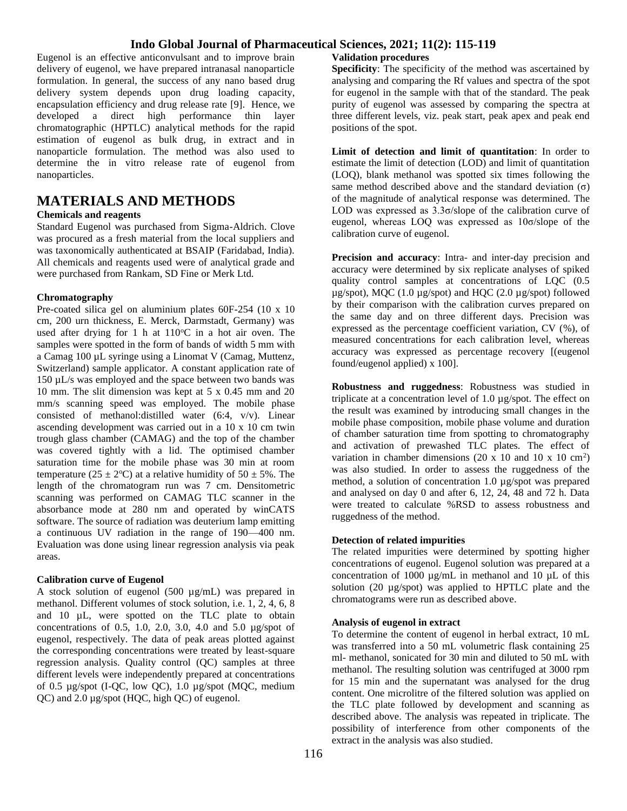### **Indo Global Journal of Pharmaceutical Sciences, 2021; 11(2): 115-119**

Eugenol is an effective anticonvulsant and to improve brain delivery of eugenol, we have prepared intranasal nanoparticle formulation. In general, the success of any nano based drug delivery system depends upon drug loading capacity, encapsulation efficiency and drug release rate [9]. Hence, we developed a direct high performance thin layer chromatographic (HPTLC) analytical methods for the rapid estimation of eugenol as bulk drug, in extract and in nanoparticle formulation. The method was also used to determine the in vitro release rate of eugenol from nanoparticles.

## **MATERIALS AND METHODS**

#### **Chemicals and reagents**

Standard Eugenol was purchased from Sigma-Aldrich. Clove was procured as a fresh material from the local suppliers and was taxonomically authenticated at BSAIP (Faridabad, India). All chemicals and reagents used were of analytical grade and were purchased from Rankam, SD Fine or Merk Ltd.

#### **Chromatography**

Pre-coated silica gel on aluminium plates 60F-254 (10 x 10 cm, 200 urn thickness, E. Merck, Darmstadt, Germany) was used after drying for 1 h at  $110^{\circ}$ C in a hot air oven. The samples were spotted in the form of bands of width 5 mm with a Camag 100 µL syringe using a Linomat V (Camag, Muttenz, Switzerland) sample applicator. A constant application rate of 150 µL/s was employed and the space between two bands was 10 mm. The slit dimension was kept at 5 x 0.45 mm and 20 mm/s scanning speed was employed. The mobile phase consisted of methanol:distilled water (6:4, v/v). Linear ascending development was carried out in a 10 x 10 cm twin trough glass chamber (CAMAG) and the top of the chamber was covered tightly with a lid. The optimised chamber saturation time for the mobile phase was 30 min at room temperature (25  $\pm$  2°C) at a relative humidity of 50  $\pm$  5%. The length of the chromatogram run was 7 cm. Densitometric scanning was performed on CAMAG TLC scanner in the absorbance mode at 280 nm and operated by winCATS software. The source of radiation was deuterium lamp emitting a continuous UV radiation in the range of 190—400 nm. Evaluation was done using linear regression analysis via peak areas.

#### **Calibration curve of Eugenol**

A stock solution of eugenol  $(500 \mu g/mL)$  was prepared in methanol. Different volumes of stock solution, i.e. 1, 2, 4, 6, 8 and 10 µL, were spotted on the TLC plate to obtain concentrations of 0.5, 1.0, 2.0, 3.0, 4.0 and 5.0 µg/spot of eugenol, respectively. The data of peak areas plotted against the corresponding concentrations were treated by least-square regression analysis. Quality control (QC) samples at three different levels were independently prepared at concentrations of 0.5 µg/spot (I-QC, low QC), 1.0 µg/spot (MQC, medium QC) and 2.0 µg/spot (HQC, high QC) of eugenol.

#### **Validation procedures**

**Specificity**: The specificity of the method was ascertained by analysing and comparing the Rf values and spectra of the spot for eugenol in the sample with that of the standard. The peak purity of eugenol was assessed by comparing the spectra at three different levels, viz. peak start, peak apex and peak end positions of the spot.

**Limit of detection and limit of quantitation**: In order to estimate the limit of detection (LOD) and limit of quantitation (LOQ), blank methanol was spotted six times following the same method described above and the standard deviation  $(σ)$ of the magnitude of analytical response was determined. The LOD was expressed as 3.3σ/slope of the calibration curve of eugenol, whereas LOQ was expressed as 10σ/slope of the calibration curve of eugenol.

**Precision and accuracy**: Intra- and inter-day precision and accuracy were determined by six replicate analyses of spiked quality control samples at concentrations of LQC (0.5 µg/spot), MQC (1.0 µg/spot) and HQC (2.0 µg/spot) followed by their comparison with the calibration curves prepared on the same day and on three different days. Precision was expressed as the percentage coefficient variation, CV (%), of measured concentrations for each calibration level, whereas accuracy was expressed as percentage recovery [(eugenol found/eugenol applied) x 100].

**Robustness and ruggedness**: Robustness was studied in triplicate at a concentration level of 1.0 µg/spot. The effect on the result was examined by introducing small changes in the mobile phase composition, mobile phase volume and duration of chamber saturation time from spotting to chromatography and activation of prewashed TLC plates. The effect of variation in chamber dimensions (20 x 10 and 10 x 10 cm<sup>2</sup>) was also studied. In order to assess the ruggedness of the method, a solution of concentration 1.0 µg/spot was prepared and analysed on day 0 and after 6, 12, 24, 48 and 72 h. Data were treated to calculate %RSD to assess robustness and ruggedness of the method.

#### **Detection of related impurities**

The related impurities were determined by spotting higher concentrations of eugenol. Eugenol solution was prepared at a concentration of 1000  $\mu$ g/mL in methanol and 10  $\mu$ L of this solution (20 µg/spot) was applied to HPTLC plate and the chromatograms were run as described above.

#### **Analysis of eugenol in extract**

To determine the content of eugenol in herbal extract, 10 mL was transferred into a 50 mL volumetric flask containing 25 ml- methanol, sonicated for 30 min and diluted to 50 mL with methanol. The resulting solution was centrifuged at 3000 rpm for 15 min and the supernatant was analysed for the drug content. One microlitre of the filtered solution was applied on the TLC plate followed by development and scanning as described above. The analysis was repeated in triplicate. The possibility of interference from other components of the extract in the analysis was also studied.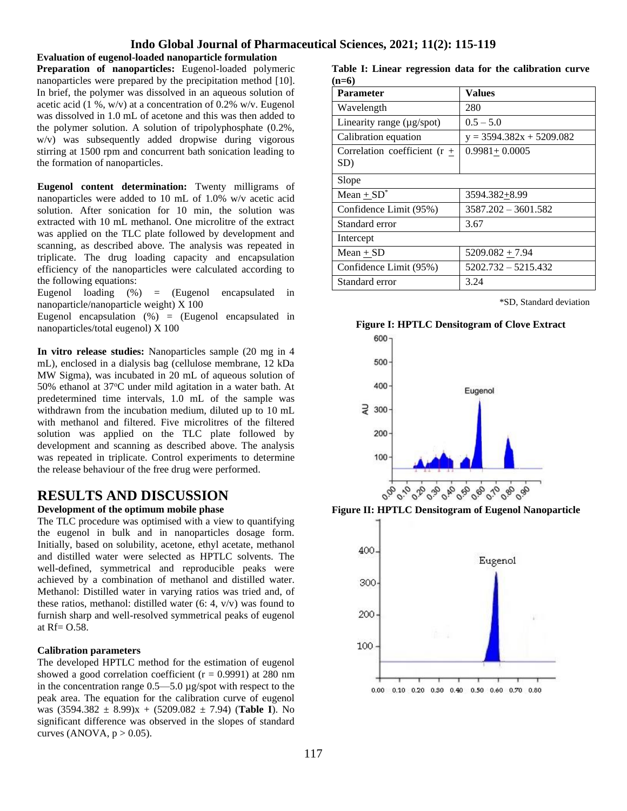#### **Indo Global Journal of Pharmaceutical Sciences, 2021; 11(2): 115-119**

**Evaluation of eugenol-loaded nanoparticle formulation Preparation of nanoparticles:** Eugenol-loaded polymeric nanoparticles were prepared by the precipitation method [10]. In brief, the polymer was dissolved in an aqueous solution of acetic acid (1 %, w/v) at a concentration of  $0.2\%$  w/v. Eugenol was dissolved in 1.0 mL of acetone and this was then added to the polymer solution. A solution of tripolyphosphate (0.2%, w/v) was subsequently added dropwise during vigorous stirring at 1500 rpm and concurrent bath sonication leading to the formation of nanoparticles.

**Eugenol content determination:** Twenty milligrams of nanoparticles were added to 10 mL of 1.0% w/v acetic acid solution. After sonication for 10 min, the solution was extracted with 10 mL methanol. One microlitre of the extract was applied on the TLC plate followed by development and scanning, as described above. The analysis was repeated in triplicate. The drug loading capacity and encapsulation efficiency of the nanoparticles were calculated according to the following equations:

Eugenol loading (%) = (Eugenol encapsulated in nanoparticle/nanoparticle weight) X 100

Eugenol encapsulation  $(\%)$  = (Eugenol encapsulated in nanoparticles/total eugenol) X 100

**In vitro release studies:** Nanoparticles sample (20 mg in 4 mL), enclosed in a dialysis bag (cellulose membrane, 12 kDa MW Sigma), was incubated in 20 mL of aqueous solution of 50% ethanol at 37°C under mild agitation in a water bath. At predetermined time intervals, 1.0 mL of the sample was withdrawn from the incubation medium, diluted up to 10 mL with methanol and filtered. Five microlitres of the filtered solution was applied on the TLC plate followed by development and scanning as described above. The analysis was repeated in triplicate. Control experiments to determine the release behaviour of the free drug were performed.

### **RESULTS AND DISCUSSION**

#### **Development of the optimum mobile phase**

The TLC procedure was optimised with a view to quantifying the eugenol in bulk and in nanoparticles dosage form. Initially, based on solubility, acetone, ethyl acetate, methanol and distilled water were selected as HPTLC solvents. The well-defined, symmetrical and reproducible peaks were achieved by a combination of methanol and distilled water. Methanol: Distilled water in varying ratios was tried and, of these ratios, methanol: distilled water  $(6: 4, v/v)$  was found to furnish sharp and well-resolved symmetrical peaks of eugenol at  $Rf = 0.58$ .

#### **Calibration parameters**

The developed HPTLC method for the estimation of eugenol showed a good correlation coefficient ( $r = 0.9991$ ) at 280 nm in the concentration range 0.5—5.0 µg/spot with respect to the peak area. The equation for the calibration curve of eugenol was (3594.382 ± 8.99)x + (5209.082 ± 7.94) (**Table I**). No significant difference was observed in the slopes of standard curves (ANOVA,  $p > 0.05$ ).

**Table I: Linear regression data for the calibration curve (n=6)**

| <b>Parameter</b>                         | <b>Values</b>              |  |  |
|------------------------------------------|----------------------------|--|--|
| Wavelength                               | 280                        |  |  |
| Linearity range $(\mu g$ /spot)          | $0.5 - 5.0$                |  |  |
| Calibration equation                     | $y = 3594.382x + 5209.082$ |  |  |
| Correlation coefficient ( $r \pm$<br>SD) | $0.9981 + 0.0005$          |  |  |
| Slope                                    |                            |  |  |
| Mean $\pm SD^*$                          | 3594.382+8.99              |  |  |
| Confidence Limit (95%)                   | $3587.202 - 3601.582$      |  |  |
| Standard error                           | 3.67                       |  |  |
| Intercept                                |                            |  |  |
| $Mean + SD$                              | $5209.082 + 7.94$          |  |  |
| Confidence Limit (95%)                   | $5202.732 - 5215.432$      |  |  |
| Standard error                           | 3.24                       |  |  |

\*SD, Standard deviation





**Figure II: HPTLC Densitogram of Eugenol Nanoparticle**

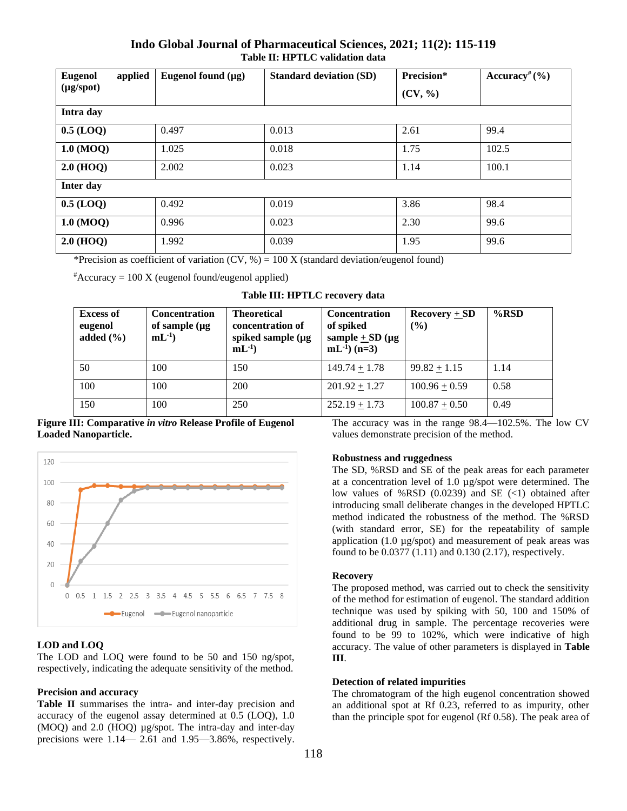### **Indo Global Journal of Pharmaceutical Sciences, 2021; 11(2): 115-119 Table II: HPTLC validation data**

| <b>Eugenol</b>     | applied | Eugenol found $(\mu g)$ | <b>Standard deviation (SD)</b> | Precision* | Accuracy <sup>#</sup> $(\% )$ |  |  |
|--------------------|---------|-------------------------|--------------------------------|------------|-------------------------------|--|--|
| $(\mu g$ /spot $)$ |         |                         |                                | (CV, %)    |                               |  |  |
| Intra day          |         |                         |                                |            |                               |  |  |
| $0.5$ (LOQ)        |         | 0.497                   | 0.013                          | 2.61       | 99.4                          |  |  |
| $1.0 \ (MOQ)$      |         | 1.025                   | 0.018                          | 1.75       | 102.5                         |  |  |
| $2.0$ (HOQ)        |         | 2.002                   | 0.023                          | 1.14       | 100.1                         |  |  |
| Inter day          |         |                         |                                |            |                               |  |  |
| $0.5$ (LOQ)        |         | 0.492                   | 0.019                          | 3.86       | 98.4                          |  |  |
| $1.0 \ (MOQ)$      |         | 0.996                   | 0.023                          | 2.30       | 99.6                          |  |  |
| $2.0$ (HOQ)        |         | 1.992                   | 0.039                          | 1.95       | 99.6                          |  |  |

\*Precision as coefficient of variation  $(CV, %) = 100 X$  (standard deviation/eugenol found)

 $*$ Accuracy = 100 X (eugenol found/eugenol applied)

| <b>Excess of</b><br>eugenol<br>added $(\% )$ | <b>Concentration</b><br>of sample $(\mu g)$<br>$mL^{-1}$ | <b>Theoretical</b><br>concentration of<br>spiked sample $(\mu g)$<br>$mL^{-1}$ | <b>Concentration</b><br>of spiked<br>sample $\pm$ SD (µg<br>$mL^{-1}$ (n=3) | Recovery $+$ SD<br>(%) | $%$ RSD |
|----------------------------------------------|----------------------------------------------------------|--------------------------------------------------------------------------------|-----------------------------------------------------------------------------|------------------------|---------|
| 50                                           | 100                                                      | 150                                                                            | $149.74 + 1.78$                                                             | $99.82 + 1.15$         | 1.14    |
| 100                                          | 100                                                      | 200                                                                            | $201.92 + 1.27$                                                             | $100.96 + 0.59$        | 0.58    |
| 150                                          | 100                                                      | 250                                                                            | $252.19 + 1.73$                                                             | $100.87 + 0.50$        | 0.49    |

**Figure III: Comparative** *in vitro* **Release Profile of Eugenol Loaded Nanoparticle.**



#### **LOD and LOQ**

The LOD and LOQ were found to be 50 and 150 ng/spot, respectively, indicating the adequate sensitivity of the method.

#### **Precision and accuracy**

**Table II** summarises the intra- and inter-day precision and accuracy of the eugenol assay determined at 0.5 (LOQ), 1.0 (MOQ) and 2.0 (HOQ) µg/spot. The intra-day and inter-day precisions were 1.14— 2.61 and 1.95—3.86%, respectively. The accuracy was in the range 98.4—102.5%. The low CV values demonstrate precision of the method.

#### **Robustness and ruggedness**

The SD, %RSD and SE of the peak areas for each parameter at a concentration level of 1.0 µg/spot were determined. The low values of %RSD  $(0.0239)$  and SE  $(\leq 1)$  obtained after introducing small deliberate changes in the developed HPTLC method indicated the robustness of the method. The %RSD (with standard error, SE) for the repeatability of sample application (1.0  $\mu$ g/spot) and measurement of peak areas was found to be 0.0377 (1.11) and 0.130 (2.17), respectively.

#### **Recovery**

The proposed method, was carried out to check the sensitivity of the method for estimation of eugenol. The standard addition technique was used by spiking with 50, 100 and 150% of additional drug in sample. The percentage recoveries were found to be 99 to 102%, which were indicative of high accuracy. The value of other parameters is displayed in **Table III**.

#### **Detection of related impurities**

The chromatogram of the high eugenol concentration showed an additional spot at Rf 0.23, referred to as impurity, other than the principle spot for eugenol (Rf 0.58). The peak area of